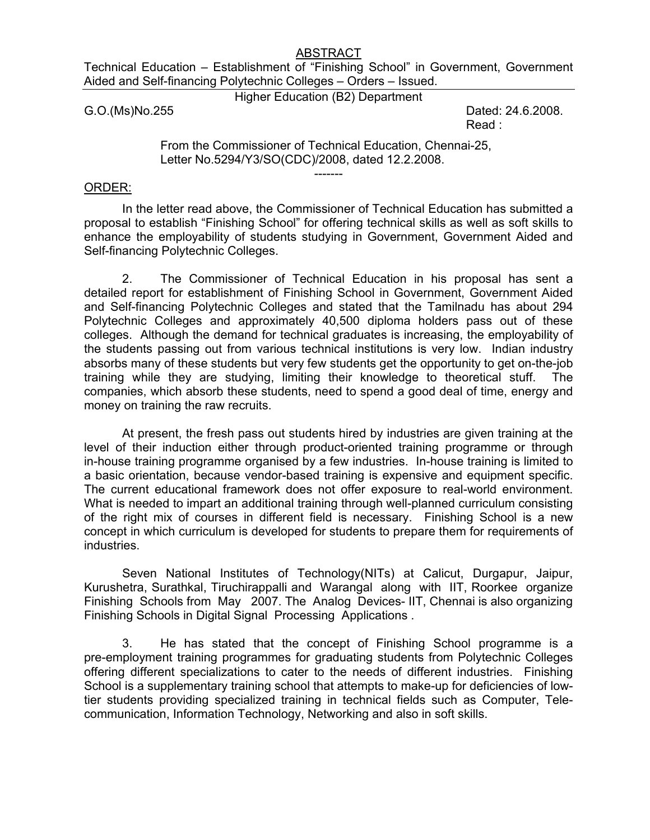#### ABSTRACT

Technical Education – Establishment of "Finishing School" in Government, Government Aided and Self-financing Polytechnic Colleges – Orders – Issued.

Higher Education (B2) Department

G.O.(Ms)No.255 Dated: 24.6.2008. Read :

> From the Commissioner of Technical Education, Chennai-25, Letter No.5294/Y3/SO(CDC)/2008, dated 12.2.2008.

> > -------

#### ORDER:

In the letter read above, the Commissioner of Technical Education has submitted a proposal to establish "Finishing School" for offering technical skills as well as soft skills to enhance the employability of students studying in Government, Government Aided and Self-financing Polytechnic Colleges.

2. The Commissioner of Technical Education in his proposal has sent a detailed report for establishment of Finishing School in Government, Government Aided and Self-financing Polytechnic Colleges and stated that the Tamilnadu has about 294 Polytechnic Colleges and approximately 40,500 diploma holders pass out of these colleges. Although the demand for technical graduates is increasing, the employability of the students passing out from various technical institutions is very low. Indian industry absorbs many of these students but very few students get the opportunity to get on-the-job training while they are studying, limiting their knowledge to theoretical stuff. The companies, which absorb these students, need to spend a good deal of time, energy and money on training the raw recruits.

At present, the fresh pass out students hired by industries are given training at the level of their induction either through product-oriented training programme or through in-house training programme organised by a few industries. In-house training is limited to a basic orientation, because vendor-based training is expensive and equipment specific. The current educational framework does not offer exposure to real-world environment. What is needed to impart an additional training through well-planned curriculum consisting of the right mix of courses in different field is necessary. Finishing School is a new concept in which curriculum is developed for students to prepare them for requirements of industries.

Seven National Institutes of Technology(NITs) at Calicut, Durgapur, Jaipur, Kurushetra, Surathkal, Tiruchirappalli and Warangal along with IIT, Roorkee organize Finishing Schools from May 2007. The Analog Devices- IIT, Chennai is also organizing Finishing Schools in Digital Signal Processing Applications .

 3. He has stated that the concept of Finishing School programme is a pre-employment training programmes for graduating students from Polytechnic Colleges offering different specializations to cater to the needs of different industries. Finishing School is a supplementary training school that attempts to make-up for deficiencies of lowtier students providing specialized training in technical fields such as Computer, Telecommunication, Information Technology, Networking and also in soft skills.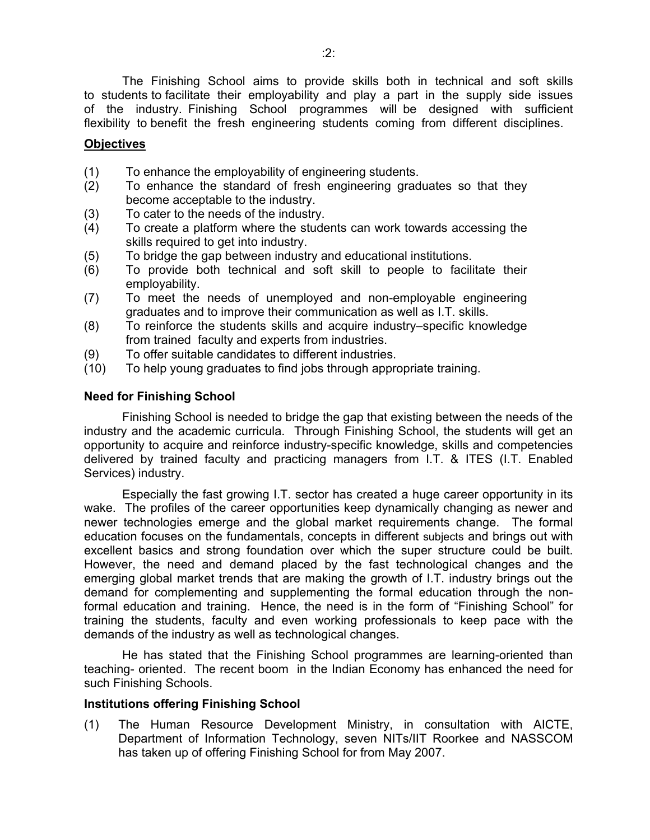The Finishing School aims to provide skills both in technical and soft skills to students to facilitate their employability and play a part in the supply side issues of the industry. Finishing School programmes will be designed with sufficient flexibility to benefit the fresh engineering students coming from different disciplines.

# **Objectives**

- (1) To enhance the employability of engineering students.
- (2) To enhance the standard of fresh engineering graduates so that they become acceptable to the industry.
- (3) To cater to the needs of the industry.
- (4) To create a platform where the students can work towards accessing the skills required to get into industry.
- (5) To bridge the gap between industry and educational institutions.
- (6) To provide both technical and soft skill to people to facilitate their employability.
- (7) To meet the needs of unemployed and non-employable engineering graduates and to improve their communication as well as I.T. skills.
- (8) To reinforce the students skills and acquire industry–specific knowledge from trained faculty and experts from industries.
- (9) To offer suitable candidates to different industries.
- (10) To help young graduates to find jobs through appropriate training.

## **Need for Finishing School**

 Finishing School is needed to bridge the gap that existing between the needs of the industry and the academic curricula. Through Finishing School, the students will get an opportunity to acquire and reinforce industry-specific knowledge, skills and competencies delivered by trained faculty and practicing managers from I.T. & ITES (I.T. Enabled Services) industry.

 Especially the fast growing I.T. sector has created a huge career opportunity in its wake. The profiles of the career opportunities keep dynamically changing as newer and newer technologies emerge and the global market requirements change. The formal education focuses on the fundamentals, concepts in different subjects and brings out with excellent basics and strong foundation over which the super structure could be built. However, the need and demand placed by the fast technological changes and the emerging global market trends that are making the growth of I.T. industry brings out the demand for complementing and supplementing the formal education through the nonformal education and training. Hence, the need is in the form of "Finishing School" for training the students, faculty and even working professionals to keep pace with the demands of the industry as well as technological changes.

 He has stated that the Finishing School programmes are learning-oriented than teaching- oriented. The recent boom in the Indian Economy has enhanced the need for such Finishing Schools.

#### **Institutions offering Finishing School**

(1) The Human Resource Development Ministry, in consultation with AICTE, Department of Information Technology, seven NITs/IIT Roorkee and NASSCOM has taken up of offering Finishing School for from May 2007.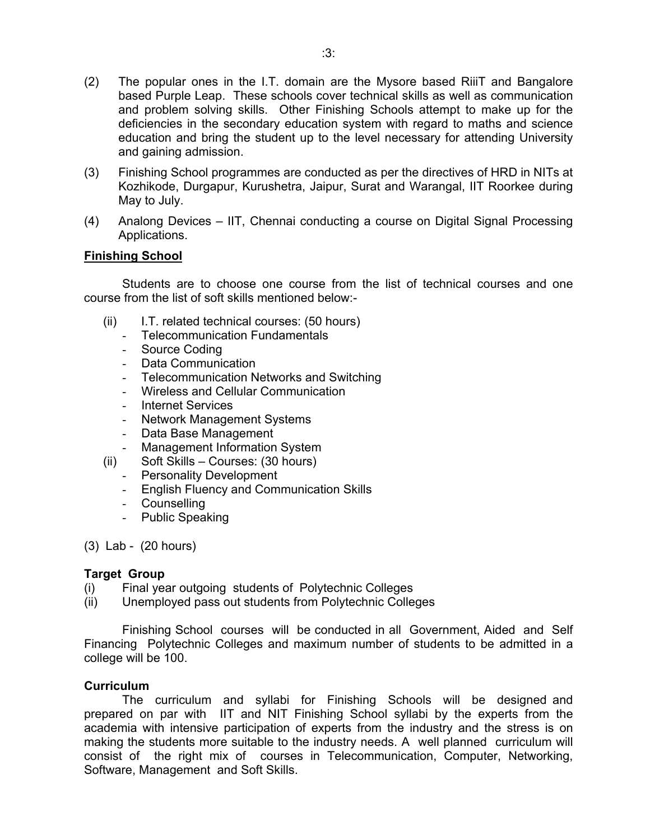- (2) The popular ones in the I.T. domain are the Mysore based RiiiT and Bangalore based Purple Leap. These schools cover technical skills as well as communication and problem solving skills. Other Finishing Schools attempt to make up for the deficiencies in the secondary education system with regard to maths and science education and bring the student up to the level necessary for attending University and gaining admission.
- (3) Finishing School programmes are conducted as per the directives of HRD in NITs at Kozhikode, Durgapur, Kurushetra, Jaipur, Surat and Warangal, IIT Roorkee during May to July.
- (4) Analong Devices IIT, Chennai conducting a course on Digital Signal Processing Applications.

# **Finishing School**

Students are to choose one course from the list of technical courses and one course from the list of soft skills mentioned below:-

- (ii) I.T. related technical courses: (50 hours)
	- Telecommunication Fundamentals
	- Source Coding
	- Data Communication
	- Telecommunication Networks and Switching
	- Wireless and Cellular Communication
	- Internet Services
	- Network Management Systems
	- Data Base Management
	- Management Information System
- (ii) Soft Skills Courses: (30 hours)
	- Personality Development
	- English Fluency and Communication Skills
	- Counselling
	- Public Speaking

(3) Lab - (20 hours)

# **Target Group**

- (i) Final year outgoing students of Polytechnic Colleges
- (ii) Unemployed pass out students from Polytechnic Colleges

Finishing School courses will be conducted in all Government, Aided and Self Financing Polytechnic Colleges and maximum number of students to be admitted in a college will be 100.

# **Curriculum**

 The curriculum and syllabi for Finishing Schools will be designed and prepared on par with IIT and NIT Finishing School syllabi by the experts from the academia with intensive participation of experts from the industry and the stress is on making the students more suitable to the industry needs. A well planned curriculum will consist of the right mix of courses in Telecommunication, Computer, Networking, Software, Management and Soft Skills.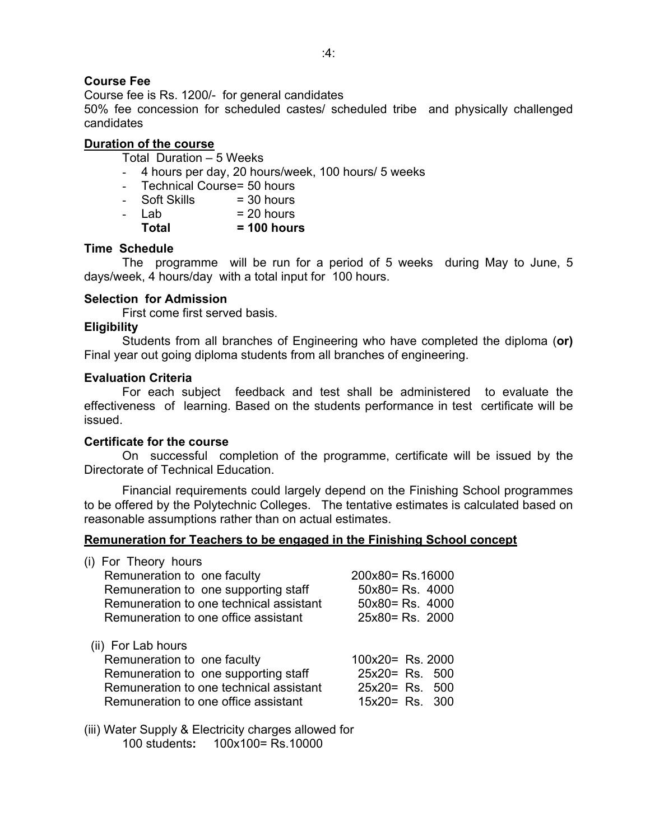# **Course Fee**

Course fee is Rs. 1200/- for general candidates

50% fee concession for scheduled castes/ scheduled tribe and physically challenged candidates

# **Duration of the course**

Total Duration – 5 Weeks

- 4 hours per day, 20 hours/week, 100 hours/ 5 weeks
- Technical Course = 50 hours
- $-$  Soft Skills = 30 hours<br> $-$  Lab = 20 hours - Lab = **Total = 100 hours**
- **Time Schedule**

 The programme will be run for a period of 5 weeks during May to June, 5 days/week, 4 hours/day with a total input for 100 hours.

## **Selection for Admission**

First come first served basis.

## **Eligibility**

 Students from all branches of Engineering who have completed the diploma (**or)**  Final year out going diploma students from all branches of engineering.

## **Evaluation Criteria**

 For each subject feedback and test shall be administered to evaluate the effectiveness of learning. Based on the students performance in test certificate will be issued.

#### **Certificate for the course**

 On successful completion of the programme, certificate will be issued by the Directorate of Technical Education.

Financial requirements could largely depend on the Finishing School programmes to be offered by the Polytechnic Colleges. The tentative estimates is calculated based on reasonable assumptions rather than on actual estimates.

# **Remuneration for Teachers to be engaged in the Finishing School concept**

| (i) For Theory hours<br>Remuneration to one faculty<br>Remuneration to one supporting staff<br>Remuneration to one technical assistant<br>Remuneration to one office assistant | 200x80= Rs.16000<br>$50x80 = Rs. 4000$<br>50x80= Rs. 4000<br>$25x80 = Rs. 2000$ |
|--------------------------------------------------------------------------------------------------------------------------------------------------------------------------------|---------------------------------------------------------------------------------|
| (ii) For Lab hours<br>Remuneration to one faculty<br>Remuneration to one supporting staff<br>Remuneration to one technical assistant<br>Remuneration to one office assistant   | 100x20= Rs. 2000<br>$25x20 = Rs. 500$<br>$25x20 = Rs. 500$<br>$15x20 = Rs. 300$ |

(iii) Water Supply & Electricity charges allowed for 100 students**:** 100x100= Rs.10000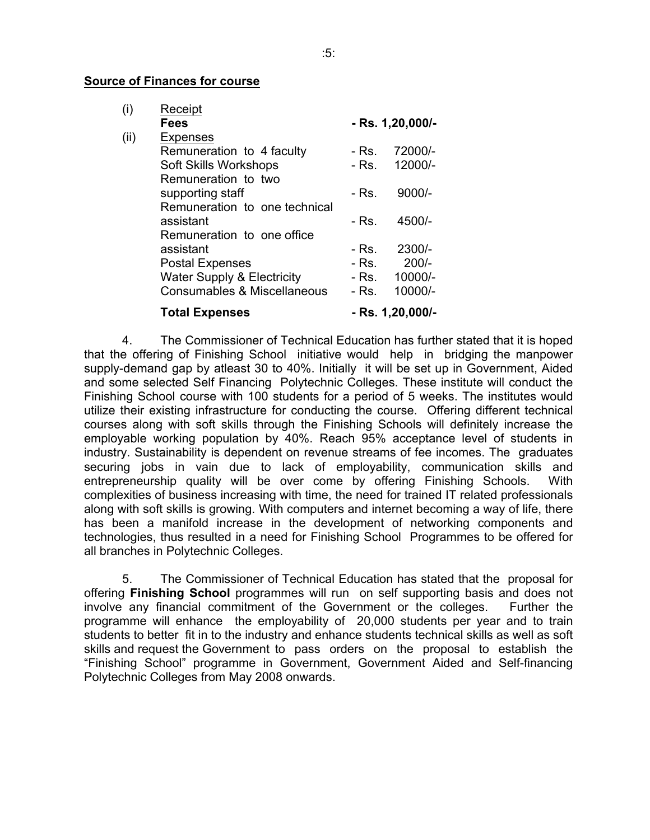#### **Source of Finances for course**

| (i)  | Receipt                               |                  |                  |
|------|---------------------------------------|------------------|------------------|
|      | <b>Fees</b>                           | - Rs. 1,20,000/- |                  |
| (ii) | Expenses                              |                  |                  |
|      | Remuneration to 4 faculty             | - Rs.            | 72000/-          |
|      | Soft Skills Workshops                 | - Rs.            | 12000/-          |
|      | Remuneration to two                   |                  |                  |
|      | supporting staff                      | - Rs.            | $9000/-$         |
|      | Remuneration to one technical         |                  |                  |
|      | assistant                             | - Rs.            | 4500/-           |
|      | Remuneration to one office            |                  |                  |
|      | assistant                             | - Rs.            | 2300/-           |
|      | <b>Postal Expenses</b>                | - Rs.            | $200/-$          |
|      | <b>Water Supply &amp; Electricity</b> | - Rs.            | 10000/-          |
|      | Consumables & Miscellaneous           | - Rs.            | 10000/-          |
|      | <b>Total Expenses</b>                 |                  | - Rs. 1,20,000/- |

 4. The Commissioner of Technical Education has further stated that it is hoped that the offering of Finishing School initiative would help in bridging the manpower supply-demand gap by atleast 30 to 40%. Initially it will be set up in Government, Aided and some selected Self Financing Polytechnic Colleges. These institute will conduct the Finishing School course with 100 students for a period of 5 weeks. The institutes would utilize their existing infrastructure for conducting the course. Offering different technical courses along with soft skills through the Finishing Schools will definitely increase the employable working population by 40%. Reach 95% acceptance level of students in industry. Sustainability is dependent on revenue streams of fee incomes. The graduates securing jobs in vain due to lack of employability, communication skills and entrepreneurship quality will be over come by offering Finishing Schools. With complexities of business increasing with time, the need for trained IT related professionals along with soft skills is growing. With computers and internet becoming a way of life, there has been a manifold increase in the development of networking components and technologies, thus resulted in a need for Finishing School Programmes to be offered for all branches in Polytechnic Colleges.

5. The Commissioner of Technical Education has stated that the proposal for offering **Finishing School** programmes will run on self supporting basis and does not involve any financial commitment of the Government or the colleges. Further the programme will enhance the employability of 20,000 students per year and to train students to better fit in to the industry and enhance students technical skills as well as soft skills and request the Government to pass orders on the proposal to establish the "Finishing School" programme in Government, Government Aided and Self-financing Polytechnic Colleges from May 2008 onwards.